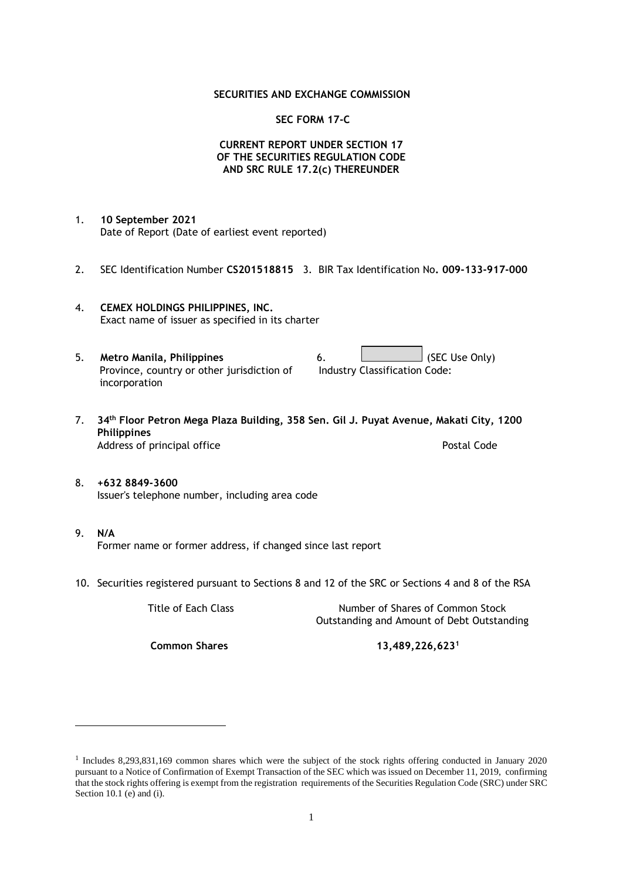#### **SECURITIES AND EXCHANGE COMMISSION**

#### **SEC FORM 17-C**

### **CURRENT REPORT UNDER SECTION 17 OF THE SECURITIES REGULATION CODE AND SRC RULE 17.2(c) THEREUNDER**

- 1. **10 September 2021** Date of Report (Date of earliest event reported)
- 2. SEC Identification Number **CS201518815** 3. BIR Tax Identification No**. 009-133-917-000**
- 4. **CEMEX HOLDINGS PHILIPPINES, INC.** Exact name of issuer as specified in its charter
- 5. **Metro Manila, Philippines** 6. **Consumers 6.** (SEC Use Only) Province, country or other jurisdiction of incorporation Industry Classification Code:
- 7. **34th Floor Petron Mega Plaza Building, 358 Sen. Gil J. Puyat Avenue, Makati City, 1200 Philippines** Address of principal office **Postal Code** Postal Code
- 8. **+632 8849-3600** Issuer's telephone number, including area code
- 9. **N/A** Former name or former address, if changed since last report
- 10. Securities registered pursuant to Sections 8 and 12 of the SRC or Sections 4 and 8 of the RSA

Title of Each Class Number of Shares of Common Stock Outstanding and Amount of Debt Outstanding

**Common Shares 13,489,226,623<sup>1</sup>**

<sup>1</sup> Includes 8,293,831,169 common shares which were the subject of the stock rights offering conducted in January 2020 pursuant to a Notice of Confirmation of Exempt Transaction of the SEC which was issued on December 11, 2019, confirming that the stock rights offering is exempt from the registration requirements of the Securities Regulation Code (SRC) under SRC Section 10.1 (e) and (i).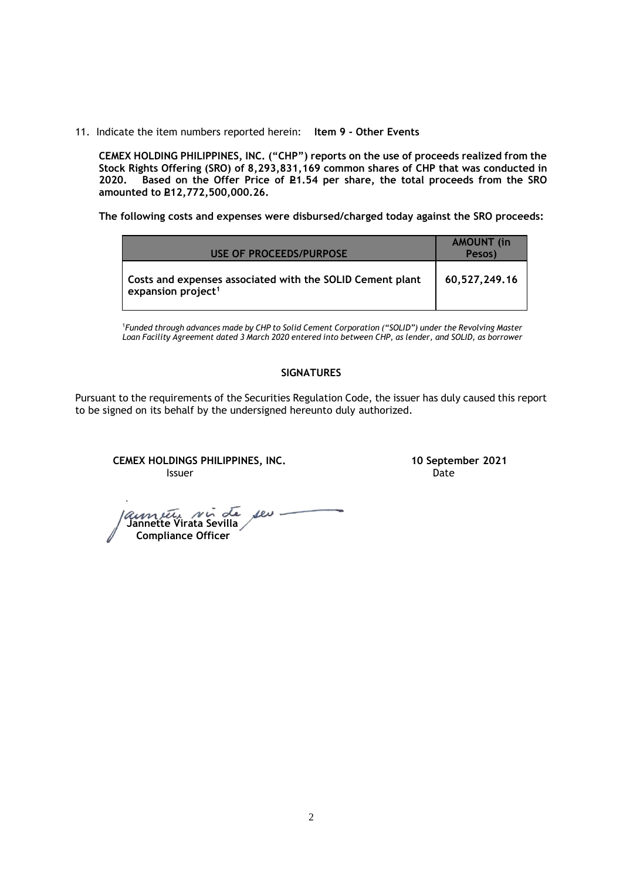11. Indicate the item numbers reported herein: **Item 9 - Other Events**

**CEMEX HOLDING PHILIPPINES, INC. ("CHP") reports on the use of proceeds realized from the Stock Rights Offering (SRO) of 8,293,831,169 common shares of CHP that was conducted in**  Based on the Offer Price of £1.54 per share, the total proceeds from the SRO **amounted to P12,772,500,000.26.** 

**The following costs and expenses were disbursed/charged today against the SRO proceeds:**

| USE OF PROCEEDS/PURPOSE                                                                     | <b>AMOUNT</b> (in<br>Pesos) |
|---------------------------------------------------------------------------------------------|-----------------------------|
| Costs and expenses associated with the SOLID Cement plant<br>expansion project <sup>1</sup> | 60,527,249.16               |

<sup>1</sup>*Funded through advances made by CHP to Solid Cement Corporation ("SOLID") under the Revolving Master Loan Facility Agreement dated 3 March 2020 entered into between CHP, as lender, and SOLID, as borrower*

## **SIGNATURES**

Pursuant to the requirements of the Securities Regulation Code, the issuer has duly caused this report to be signed on its behalf by the undersigned hereunto duly authorized.

**CEMEX HOLDINGS PHILIPPINES, INC. 10 September 2021 Issuer Date of the Community of the Community Community Community Community Community Community Community Community** 

 **Jannette Virata Sevilla Compliance Officer**